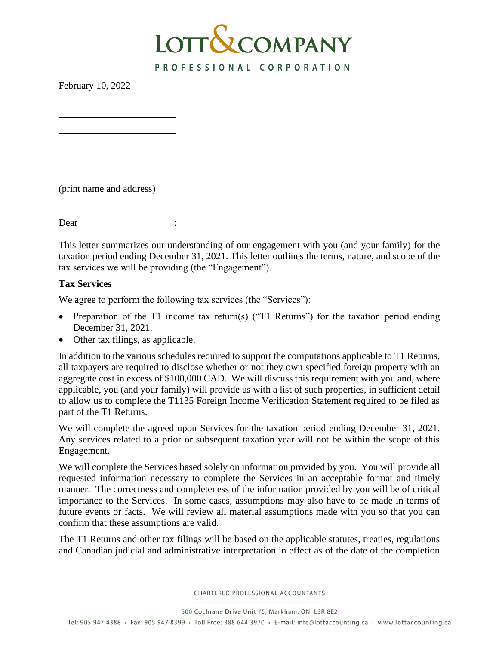

February 10, 2022

(print name and address)

Dear :

This letter summarizes our understanding of our engagement with you (and your family) for the taxation period ending December 31, 2021. This letter outlines the terms, nature, and scope of the tax services we will be providing (the "Engagement").

#### **Tax Services**

We agree to perform the following tax services (the "Services"):

- Preparation of the T1 income tax return(s) ("T1 Returns") for the taxation period ending December 31, 2021.
- Other tax filings, as applicable.

In addition to the various schedules required to support the computations applicable to T1 Returns, all taxpayers are required to disclose whether or not they own specified foreign property with an aggregate cost in excess of \$100,000 CAD. We will discuss this requirement with you and, where applicable, you (and your family) will provide us with a list of such properties, in sufficient detail to allow us to complete the T1135 Foreign Income Verification Statement required to be filed as part of the T1 Returns.

We will complete the agreed upon Services for the taxation period ending December 31, 2021. Any services related to a prior or subsequent taxation year will not be within the scope of this Engagement.

We will complete the Services based solely on information provided by you. You will provide all requested information necessary to complete the Services in an acceptable format and timely manner. The correctness and completeness of the information provided by you will be of critical importance to the Services. In some cases, assumptions may also have to be made in terms of future events or facts. We will review all material assumptions made with you so that you can confirm that these assumptions are valid.

The T1 Returns and other tax filings will be based on the applicable statutes, treaties, regulations and Canadian judicial and administrative interpretation in effect as of the date of the completion

CHARTERED PROFESSIONAL ACCOUNTANTS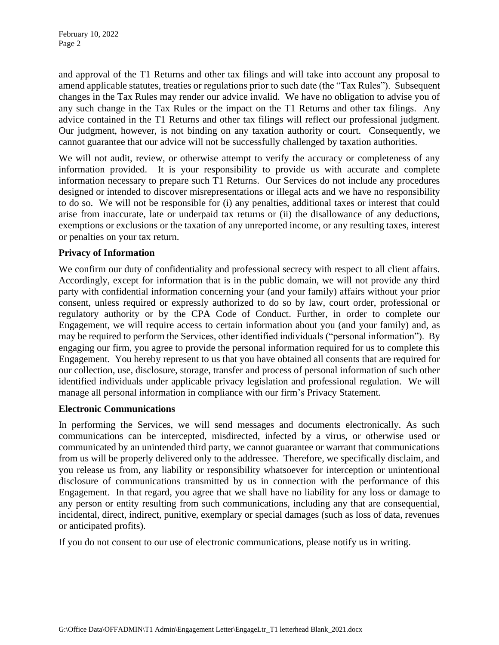and approval of the T1 Returns and other tax filings and will take into account any proposal to amend applicable statutes, treaties or regulations prior to such date (the "Tax Rules"). Subsequent changes in the Tax Rules may render our advice invalid. We have no obligation to advise you of any such change in the Tax Rules or the impact on the T1 Returns and other tax filings. Any advice contained in the T1 Returns and other tax filings will reflect our professional judgment. Our judgment, however, is not binding on any taxation authority or court. Consequently, we cannot guarantee that our advice will not be successfully challenged by taxation authorities.

We will not audit, review, or otherwise attempt to verify the accuracy or completeness of any information provided. It is your responsibility to provide us with accurate and complete information necessary to prepare such T1 Returns. Our Services do not include any procedures designed or intended to discover misrepresentations or illegal acts and we have no responsibility to do so. We will not be responsible for (i) any penalties, additional taxes or interest that could arise from inaccurate, late or underpaid tax returns or (ii) the disallowance of any deductions, exemptions or exclusions or the taxation of any unreported income, or any resulting taxes, interest or penalties on your tax return.

## **Privacy of Information**

We confirm our duty of confidentiality and professional secrecy with respect to all client affairs. Accordingly, except for information that is in the public domain, we will not provide any third party with confidential information concerning your (and your family) affairs without your prior consent, unless required or expressly authorized to do so by law, court order, professional or regulatory authority or by the CPA Code of Conduct. Further, in order to complete our Engagement, we will require access to certain information about you (and your family) and, as may be required to perform the Services, other identified individuals ("personal information"). By engaging our firm, you agree to provide the personal information required for us to complete this Engagement. You hereby represent to us that you have obtained all consents that are required for our collection, use, disclosure, storage, transfer and process of personal information of such other identified individuals under applicable privacy legislation and professional regulation. We will manage all personal information in compliance with our firm's Privacy Statement.

#### **Electronic Communications**

In performing the Services, we will send messages and documents electronically. As such communications can be intercepted, misdirected, infected by a virus, or otherwise used or communicated by an unintended third party, we cannot guarantee or warrant that communications from us will be properly delivered only to the addressee. Therefore, we specifically disclaim, and you release us from, any liability or responsibility whatsoever for interception or unintentional disclosure of communications transmitted by us in connection with the performance of this Engagement. In that regard, you agree that we shall have no liability for any loss or damage to any person or entity resulting from such communications, including any that are consequential, incidental, direct, indirect, punitive, exemplary or special damages (such as loss of data, revenues or anticipated profits).

If you do not consent to our use of electronic communications, please notify us in writing.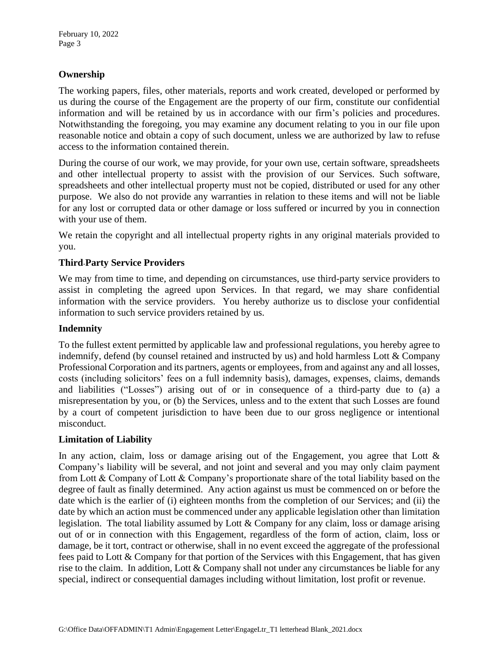# **Ownership**

The working papers, files, other materials, reports and work created, developed or performed by us during the course of the Engagement are the property of our firm, constitute our confidential information and will be retained by us in accordance with our firm's policies and procedures. Notwithstanding the foregoing, you may examine any document relating to you in our file upon reasonable notice and obtain a copy of such document, unless we are authorized by law to refuse access to the information contained therein.

During the course of our work, we may provide, for your own use, certain software, spreadsheets and other intellectual property to assist with the provision of our Services. Such software, spreadsheets and other intellectual property must not be copied, distributed or used for any other purpose. We also do not provide any warranties in relation to these items and will not be liable for any lost or corrupted data or other damage or loss suffered or incurred by you in connection with your use of them.

We retain the copyright and all intellectual property rights in any original materials provided to you.

## **Third-Party Service Providers**

We may from time to time, and depending on circumstances, use third-party service providers to assist in completing the agreed upon Services. In that regard, we may share confidential information with the service providers. You hereby authorize us to disclose your confidential information to such service providers retained by us.

#### **Indemnity**

To the fullest extent permitted by applicable law and professional regulations, you hereby agree to indemnify, defend (by counsel retained and instructed by us) and hold harmless Lott & Company Professional Corporation and its partners, agents or employees, from and against any and all losses, costs (including solicitors' fees on a full indemnity basis), damages, expenses, claims, demands and liabilities ("Losses") arising out of or in consequence of a third-party due to (a) a misrepresentation by you, or (b) the Services, unless and to the extent that such Losses are found by a court of competent jurisdiction to have been due to our gross negligence or intentional misconduct.

#### **Limitation of Liability**

In any action, claim, loss or damage arising out of the Engagement, you agree that Lott & Company's liability will be several, and not joint and several and you may only claim payment from Lott & Company of Lott & Company's proportionate share of the total liability based on the degree of fault as finally determined. Any action against us must be commenced on or before the date which is the earlier of (i) eighteen months from the completion of our Services; and (ii) the date by which an action must be commenced under any applicable legislation other than limitation legislation. The total liability assumed by Lott & Company for any claim, loss or damage arising out of or in connection with this Engagement, regardless of the form of action, claim, loss or damage, be it tort, contract or otherwise, shall in no event exceed the aggregate of the professional fees paid to Lott & Company for that portion of the Services with this Engagement, that has given rise to the claim. In addition, Lott & Company shall not under any circumstances be liable for any special, indirect or consequential damages including without limitation, lost profit or revenue.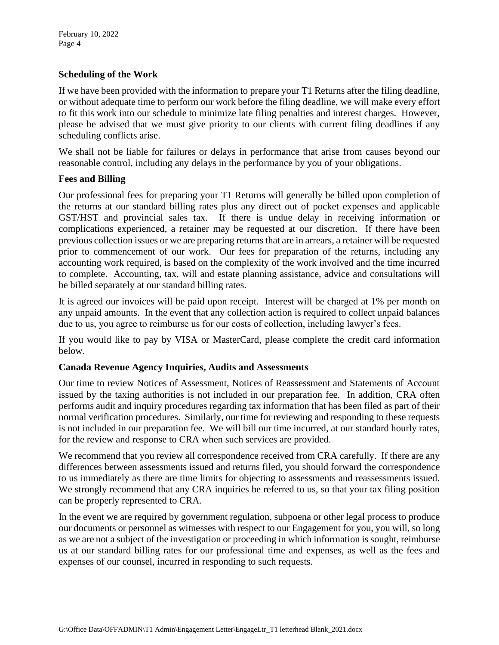## **Scheduling of the Work**

If we have been provided with the information to prepare your T1 Returns after the filing deadline, or without adequate time to perform our work before the filing deadline, we will make every effort to fit this work into our schedule to minimize late filing penalties and interest charges. However, please be advised that we must give priority to our clients with current filing deadlines if any scheduling conflicts arise.

We shall not be liable for failures or delays in performance that arise from causes beyond our reasonable control, including any delays in the performance by you of your obligations.

## **Fees and Billing**

Our professional fees for preparing your T1 Returns will generally be billed upon completion of the returns at our standard billing rates plus any direct out of pocket expenses and applicable GST/HST and provincial sales tax. If there is undue delay in receiving information or complications experienced, a retainer may be requested at our discretion. If there have been previous collection issues or we are preparing returns that are in arrears, a retainer will be requested prior to commencement of our work. Our fees for preparation of the returns, including any accounting work required, is based on the complexity of the work involved and the time incurred to complete. Accounting, tax, will and estate planning assistance, advice and consultations will be billed separately at our standard billing rates.

It is agreed our invoices will be paid upon receipt. Interest will be charged at 1% per month on any unpaid amounts. In the event that any collection action is required to collect unpaid balances due to us, you agree to reimburse us for our costs of collection, including lawyer's fees.

If you would like to pay by VISA or MasterCard, please complete the credit card information below.

#### **Canada Revenue Agency Inquiries, Audits and Assessments**

Our time to review Notices of Assessment, Notices of Reassessment and Statements of Account issued by the taxing authorities is not included in our preparation fee. In addition, CRA often performs audit and inquiry procedures regarding tax information that has been filed as part of their normal verification procedures. Similarly, our time for reviewing and responding to these requests is not included in our preparation fee. We will bill our time incurred, at our standard hourly rates, for the review and response to CRA when such services are provided.

We recommend that you review all correspondence received from CRA carefully. If there are any differences between assessments issued and returns filed, you should forward the correspondence to us immediately as there are time limits for objecting to assessments and reassessments issued. We strongly recommend that any CRA inquiries be referred to us, so that your tax filing position can be properly represented to CRA.

In the event we are required by government regulation, subpoena or other legal process to produce our documents or personnel as witnesses with respect to our Engagement for you, you will, so long as we are not a subject of the investigation or proceeding in which information is sought, reimburse us at our standard billing rates for our professional time and expenses, as well as the fees and expenses of our counsel, incurred in responding to such requests.